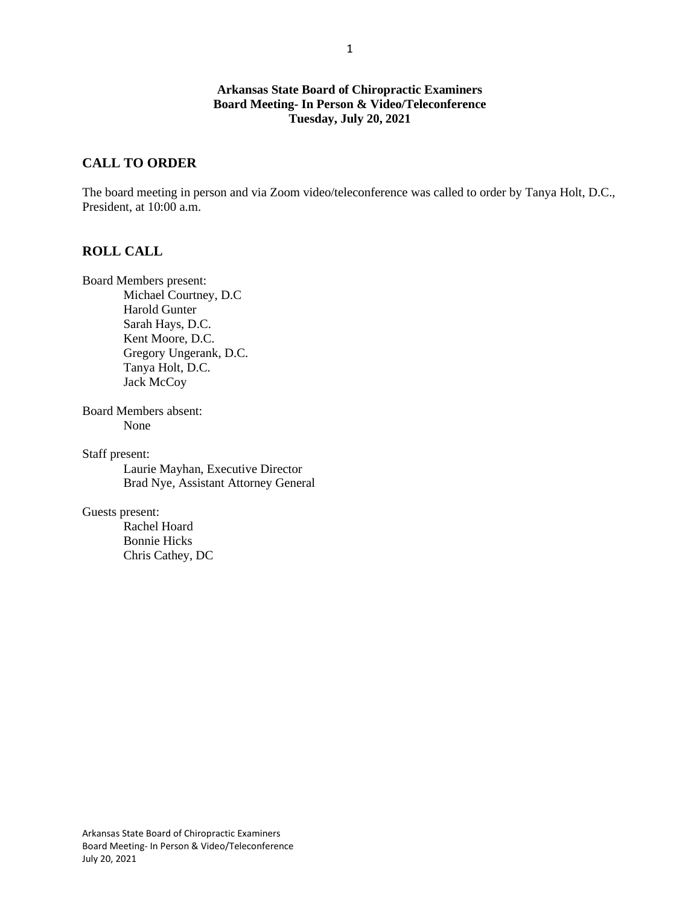### **Arkansas State Board of Chiropractic Examiners Board Meeting- In Person & Video/Teleconference Tuesday, July 20, 2021**

## **CALL TO ORDER**

The board meeting in person and via Zoom video/teleconference was called to order by Tanya Holt, D.C., President, at 10:00 a.m.

### **ROLL CALL**

Board Members present: Michael Courtney, D.C Harold Gunter Sarah Hays, D.C. Kent Moore, D.C. Gregory Ungerank, D.C. Tanya Holt, D.C. Jack McCoy

Board Members absent: None

Staff present: Laurie Mayhan, Executive Director Brad Nye, Assistant Attorney General

Guests present:

Rachel Hoard Bonnie Hicks Chris Cathey, DC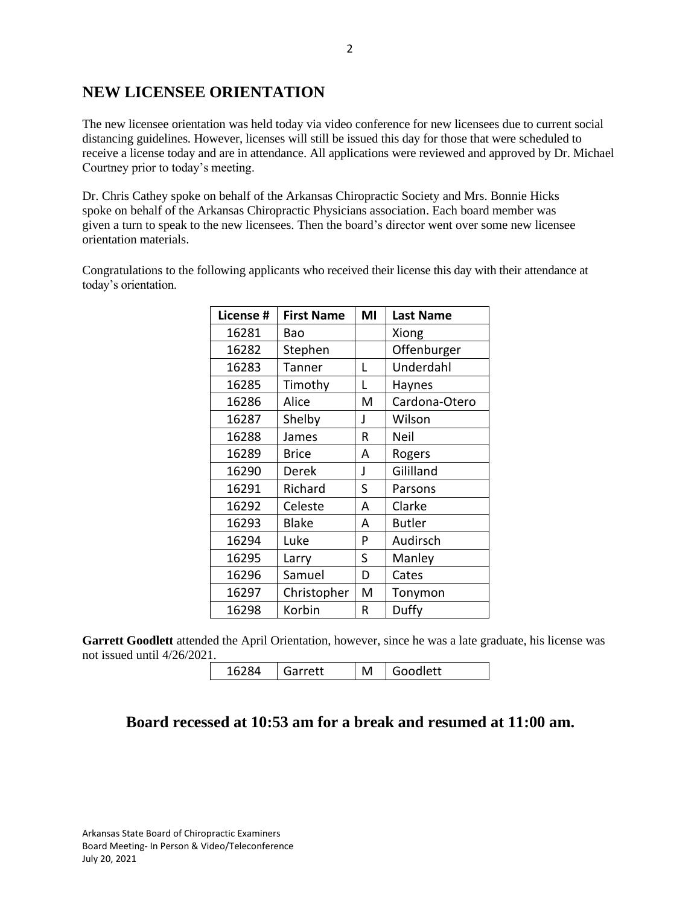# **NEW LICENSEE ORIENTATION**

The new licensee orientation was held today via video conference for new licensees due to current social distancing guidelines. However, licenses will still be issued this day for those that were scheduled to receive a license today and are in attendance. All applications were reviewed and approved by Dr. Michael Courtney prior to today's meeting.

Dr. Chris Cathey spoke on behalf of the Arkansas Chiropractic Society and Mrs. Bonnie Hicks spoke on behalf of the Arkansas Chiropractic Physicians association. Each board member was given a turn to speak to the new licensees. Then the board's director went over some new licensee orientation materials.

Congratulations to the following applicants who received their license this day with their attendance at today's orientation.

| License # | <b>First Name</b> | MI | <b>Last Name</b> |  |
|-----------|-------------------|----|------------------|--|
| 16281     | Bao               |    | Xiong            |  |
| 16282     | Stephen           |    | Offenburger      |  |
| 16283     | Tanner            | L  | Underdahl        |  |
| 16285     | Timothy           | L  | Haynes           |  |
| 16286     | Alice             | M  | Cardona-Otero    |  |
| 16287     | Shelby            | J  | Wilson           |  |
| 16288     | James             | R  | Neil             |  |
| 16289     | <b>Brice</b>      | A  | Rogers           |  |
| 16290     | Derek             | J  | Gililland        |  |
| 16291     | Richard           | S  | Parsons          |  |
| 16292     | Celeste           | A  | Clarke           |  |
| 16293     | <b>Blake</b>      | A  | <b>Butler</b>    |  |
| 16294     | Luke              | P  | Audirsch         |  |
| 16295     | Larry             | S  | Manley           |  |
| 16296     | Samuel            | D  | Cates            |  |
| 16297     | Christopher       | M  | Tonymon          |  |
| 16298     | Korbin            | R  | Duffy            |  |

Garrett Goodlett attended the April Orientation, however, since he was a late graduate, his license was not issued until 4/26/2021.

16284 Garrett | M Goodlett

# **Board recessed at 10:53 am for a break and resumed at 11:00 am.**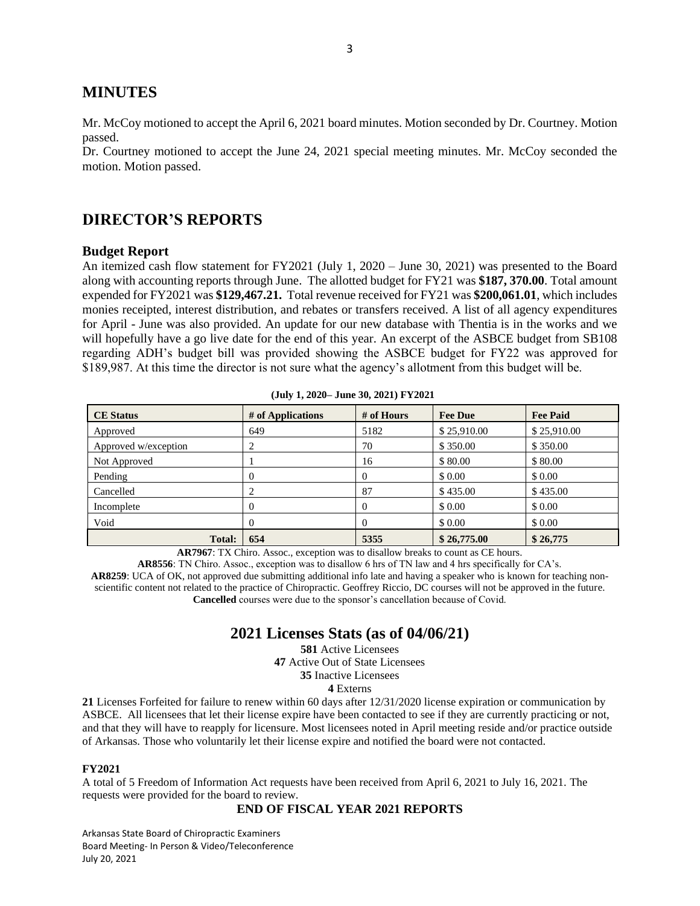## **MINUTES**

Mr. McCoy motioned to accept the April 6, 2021 board minutes. Motion seconded by Dr. Courtney. Motion passed.

Dr. Courtney motioned to accept the June 24, 2021 special meeting minutes. Mr. McCoy seconded the motion. Motion passed.

## **DIRECTOR'S REPORTS**

#### **Budget Report**

An itemized cash flow statement for FY2021 (July 1, 2020 – June 30, 2021) was presented to the Board along with accounting reports through June. The allotted budget for FY21 was **\$187, 370.00**. Total amount expended for FY2021 was **\$129,467.21.** Total revenue received for FY21 was **\$200,061.01**, which includes monies receipted, interest distribution, and rebates or transfers received. A list of all agency expenditures for April - June was also provided. An update for our new database with Thentia is in the works and we will hopefully have a go live date for the end of this year. An excerpt of the ASBCE budget from SB108 regarding ADH's budget bill was provided showing the ASBCE budget for FY22 was approved for \$189,987. At this time the director is not sure what the agency's allotment from this budget will be.

| <b>CE</b> Status     | # of Applications | # of Hours | <b>Fee Due</b> | <b>Fee Paid</b> |
|----------------------|-------------------|------------|----------------|-----------------|
| Approved             | 649               | 5182       | \$25,910.00    | \$25,910.00     |
| Approved w/exception | ∍                 | 70         | \$350.00       | \$350.00        |
| Not Approved         |                   | 16         | \$80.00        | \$80.00         |
| Pending              |                   | $\Omega$   | \$0.00         | \$0.00          |
| Cancelled            |                   | 87         | \$435.00       | \$435.00        |
| Incomplete           |                   | $\Omega$   | \$0.00         | \$0.00          |
| Void                 |                   | $\Omega$   | \$0.00         | \$0.00          |
| <b>Total:</b>        | 654               | 5355       | \$26,775.00    | \$26,775        |

**(July 1, 2020– June 30, 2021) FY2021**

**AR7967**: TX Chiro. Assoc., exception was to disallow breaks to count as CE hours.

**AR8556**: TN Chiro. Assoc., exception was to disallow 6 hrs of TN law and 4 hrs specifically for CA's. **AR8259**: UCA of OK, not approved due submitting additional info late and having a speaker who is known for teaching nonscientific content not related to the practice of Chiropractic. Geoffrey Riccio, DC courses will not be approved in the future. **Cancelled** courses were due to the sponsor's cancellation because of Covid.

## **2021 Licenses Stats (as of 04/06/21)**

 Active Licensees Active Out of State Licensees Inactive Licensees **4** Externs

**21** Licenses Forfeited for failure to renew within 60 days after 12/31/2020 license expiration or communication by ASBCE. All licensees that let their license expire have been contacted to see if they are currently practicing or not, and that they will have to reapply for licensure. Most licensees noted in April meeting reside and/or practice outside of Arkansas. Those who voluntarily let their license expire and notified the board were not contacted.

#### **FY2021**

A total of 5 Freedom of Information Act requests have been received from April 6, 2021 to July 16, 2021. The requests were provided for the board to review.

#### **END OF FISCAL YEAR 2021 REPORTS**

Arkansas State Board of Chiropractic Examiners Board Meeting- In Person & Video/Teleconference July 20, 2021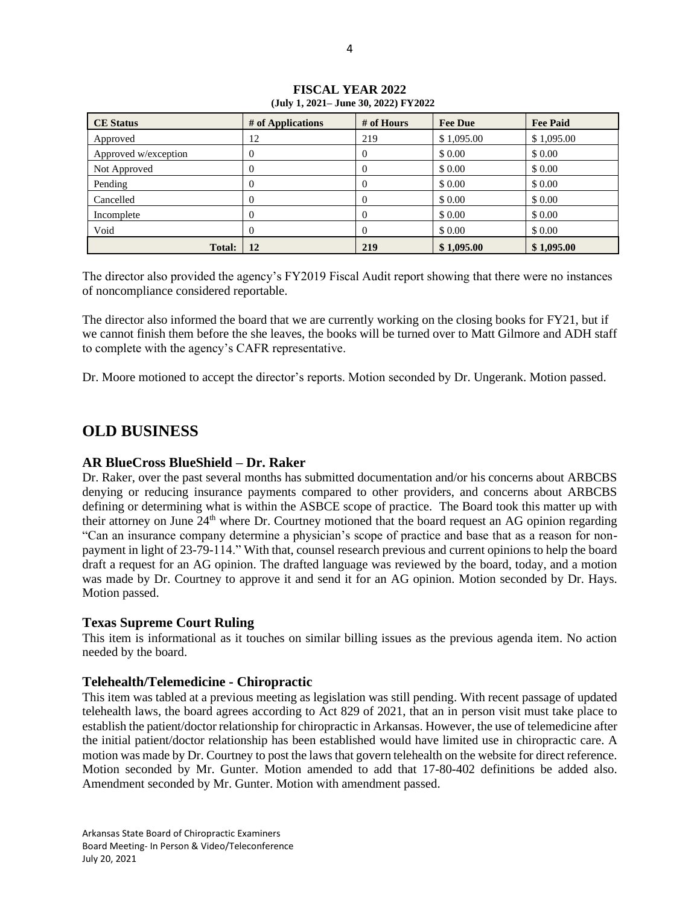| <b>CE Status</b>     | # of Applications | # of Hours | <b>Fee Due</b> | <b>Fee Paid</b> |
|----------------------|-------------------|------------|----------------|-----------------|
| Approved             | 12                | 219        | \$1,095.00     | \$1,095.00      |
| Approved w/exception | $\Omega$          | $\theta$   | \$0.00         | \$ 0.00         |
| Not Approved         | $\theta$          | $\theta$   | \$0.00         | \$ 0.00         |
| Pending              | 0                 | $\theta$   | \$0.00         | \$0.00          |
| Cancelled            | $\theta$          | $\theta$   | \$ 0.00        | \$ 0.00         |
| Incomplete           | O                 | $\theta$   | \$ 0.00        | \$ 0.00         |
| Void                 | $\theta$          | $\theta$   | \$0.00         | \$0.00          |
| <b>Total:</b>        | 12                | 219        | \$1,095.00     | \$1,095.00      |

**FISCAL YEAR 2022 (July 1, 2021– June 30, 2022) FY2022**

The director also provided the agency's FY2019 Fiscal Audit report showing that there were no instances of noncompliance considered reportable.

The director also informed the board that we are currently working on the closing books for FY21, but if we cannot finish them before the she leaves, the books will be turned over to Matt Gilmore and ADH staff to complete with the agency's CAFR representative.

Dr. Moore motioned to accept the director's reports. Motion seconded by Dr. Ungerank. Motion passed.

## **OLD BUSINESS**

### **AR BlueCross BlueShield – Dr. Raker**

Dr. Raker, over the past several months has submitted documentation and/or his concerns about ARBCBS denying or reducing insurance payments compared to other providers, and concerns about ARBCBS defining or determining what is within the ASBCE scope of practice. The Board took this matter up with their attorney on June 24<sup>th</sup> where Dr. Courtney motioned that the board request an AG opinion regarding "Can an insurance company determine a physician's scope of practice and base that as a reason for nonpayment in light of 23-79-114." With that, counsel research previous and current opinions to help the board draft a request for an AG opinion. The drafted language was reviewed by the board, today, and a motion was made by Dr. Courtney to approve it and send it for an AG opinion. Motion seconded by Dr. Hays. Motion passed.

### **Texas Supreme Court Ruling**

This item is informational as it touches on similar billing issues as the previous agenda item. No action needed by the board.

### **Telehealth/Telemedicine - Chiropractic**

This item was tabled at a previous meeting as legislation was still pending. With recent passage of updated telehealth laws, the board agrees according to Act 829 of 2021, that an in person visit must take place to establish the patient/doctor relationship for chiropractic in Arkansas. However, the use of telemedicine after the initial patient/doctor relationship has been established would have limited use in chiropractic care. A motion was made by Dr. Courtney to post the laws that govern telehealth on the website for direct reference. Motion seconded by Mr. Gunter. Motion amended to add that 17-80-402 definitions be added also. Amendment seconded by Mr. Gunter. Motion with amendment passed.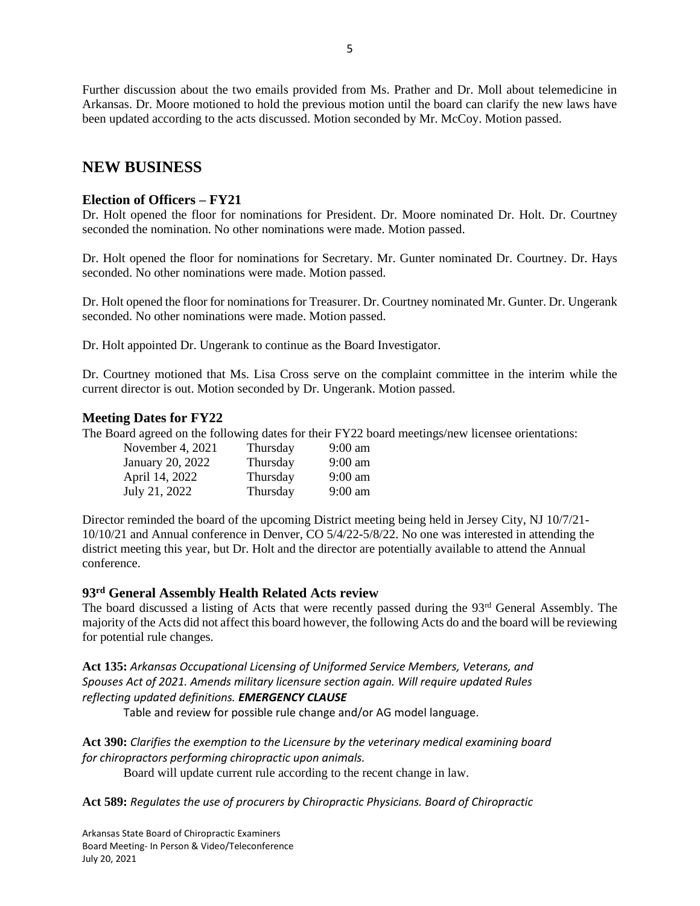Further discussion about the two emails provided from Ms. Prather and Dr. Moll about telemedicine in Arkansas. Dr. Moore motioned to hold the previous motion until the board can clarify the new laws have been updated according to the acts discussed. Motion seconded by Mr. McCoy. Motion passed.

## **NEW BUSINESS**

## **Election of Officers – FY21**

Dr. Holt opened the floor for nominations for President. Dr. Moore nominated Dr. Holt. Dr. Courtney seconded the nomination. No other nominations were made. Motion passed.

Dr. Holt opened the floor for nominations for Secretary. Mr. Gunter nominated Dr. Courtney. Dr. Hays seconded. No other nominations were made. Motion passed.

Dr. Holt opened the floor for nominations for Treasurer. Dr. Courtney nominated Mr. Gunter. Dr. Ungerank seconded. No other nominations were made. Motion passed.

Dr. Holt appointed Dr. Ungerank to continue as the Board Investigator.

Dr. Courtney motioned that Ms. Lisa Cross serve on the complaint committee in the interim while the current director is out. Motion seconded by Dr. Ungerank. Motion passed.

### **Meeting Dates for FY22**

The Board agreed on the following dates for their FY22 board meetings/new licensee orientations:

| November 4, 2021 | Thursday | $9:00 \text{ am}$ |
|------------------|----------|-------------------|
| January 20, 2022 | Thursday | $9:00$ am         |
| April 14, 2022   | Thursday | $9:00$ am         |
| July 21, 2022    | Thursday | $9:00$ am         |

Director reminded the board of the upcoming District meeting being held in Jersey City, NJ 10/7/21- 10/10/21 and Annual conference in Denver, CO 5/4/22-5/8/22. No one was interested in attending the district meeting this year, but Dr. Holt and the director are potentially available to attend the Annual conference.

### **93rd General Assembly Health Related Acts review**

The board discussed a listing of Acts that were recently passed during the 93<sup>rd</sup> General Assembly. The majority of the Acts did not affect this board however, the following Acts do and the board will be reviewing for potential rule changes.

**Act 135:** *Arkansas Occupational Licensing of Uniformed Service Members, Veterans, and Spouses Act of 2021. Amends military licensure section again. Will require updated Rules reflecting updated definitions. EMERGENCY CLAUSE*

Table and review for possible rule change and/or AG model language.

**Act 390:** *Clarifies the exemption to the Licensure by the veterinary medical examining board for chiropractors performing chiropractic upon animals.*

Board will update current rule according to the recent change in law.

**Act 589:** *Regulates the use of procurers by Chiropractic Physicians. Board of Chiropractic*

Arkansas State Board of Chiropractic Examiners Board Meeting- In Person & Video/Teleconference July 20, 2021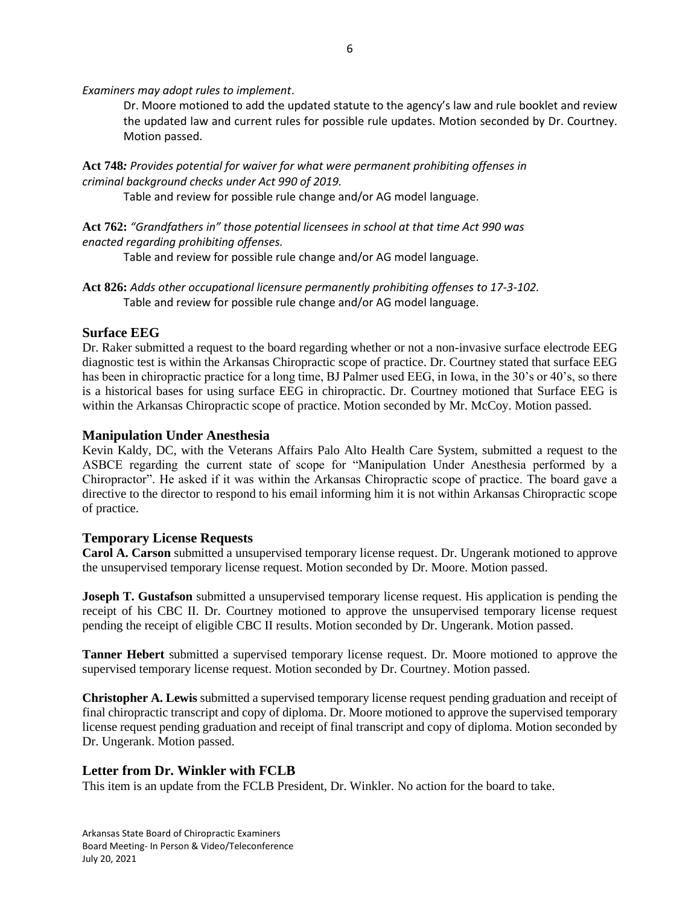*Examiners may adopt rules to implement*.

Dr. Moore motioned to add the updated statute to the agency's law and rule booklet and review the updated law and current rules for possible rule updates. Motion seconded by Dr. Courtney. Motion passed.

**Act 748***: Provides potential for waiver for what were permanent prohibiting offenses in criminal background checks under Act 990 of 2019.*

Table and review for possible rule change and/or AG model language.

**Act 762:** *"Grandfathers in" those potential licensees in school at that time Act 990 was enacted regarding prohibiting offenses.*

Table and review for possible rule change and/or AG model language.

**Act 826:** *Adds other occupational licensure permanently prohibiting offenses to 17-3-102.* Table and review for possible rule change and/or AG model language.

### **Surface EEG**

Dr. Raker submitted a request to the board regarding whether or not a non-invasive surface electrode EEG diagnostic test is within the Arkansas Chiropractic scope of practice. Dr. Courtney stated that surface EEG has been in chiropractic practice for a long time, BJ Palmer used EEG, in Iowa, in the 30's or 40's, so there is a historical bases for using surface EEG in chiropractic. Dr. Courtney motioned that Surface EEG is within the Arkansas Chiropractic scope of practice. Motion seconded by Mr. McCoy. Motion passed.

### **Manipulation Under Anesthesia**

Kevin Kaldy, DC, with the Veterans Affairs Palo Alto Health Care System, submitted a request to the ASBCE regarding the current state of scope for "Manipulation Under Anesthesia performed by a Chiropractor". He asked if it was within the Arkansas Chiropractic scope of practice. The board gave a directive to the director to respond to his email informing him it is not within Arkansas Chiropractic scope of practice.

## **Temporary License Requests**

**Carol A. Carson** submitted a unsupervised temporary license request. Dr. Ungerank motioned to approve the unsupervised temporary license request. Motion seconded by Dr. Moore. Motion passed.

**Joseph T. Gustafson** submitted a unsupervised temporary license request. His application is pending the receipt of his CBC II. Dr. Courtney motioned to approve the unsupervised temporary license request pending the receipt of eligible CBC II results. Motion seconded by Dr. Ungerank. Motion passed.

**Tanner Hebert** submitted a supervised temporary license request. Dr. Moore motioned to approve the supervised temporary license request. Motion seconded by Dr. Courtney. Motion passed.

**Christopher A. Lewis** submitted a supervised temporary license request pending graduation and receipt of final chiropractic transcript and copy of diploma. Dr. Moore motioned to approve the supervised temporary license request pending graduation and receipt of final transcript and copy of diploma. Motion seconded by Dr. Ungerank. Motion passed.

## **Letter from Dr. Winkler with FCLB**

This item is an update from the FCLB President, Dr. Winkler. No action for the board to take.